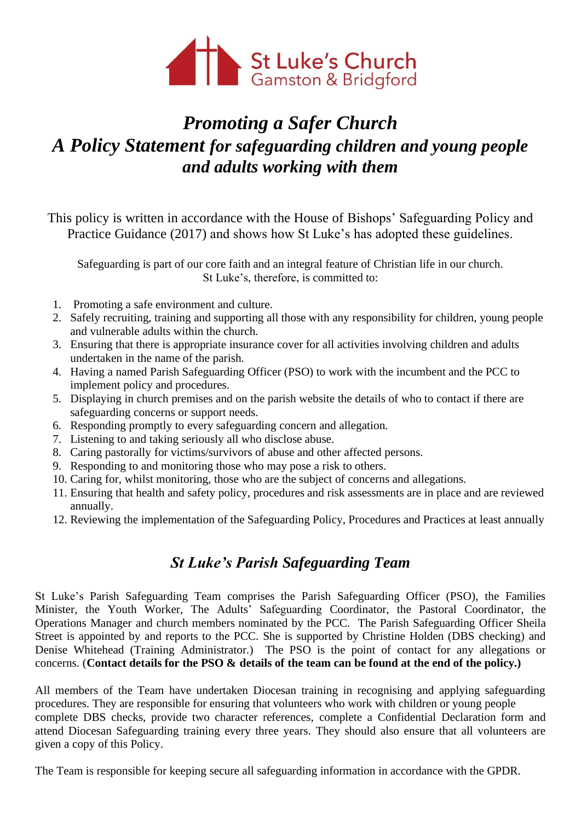

# *Promoting a Safer Church A Policy Statement for safeguarding children and young people and adults working with them*

This policy is written in accordance with the House of Bishops' Safeguarding Policy and Practice Guidance (2017) and shows how St Luke's has adopted these guidelines.

Safeguarding is part of our core faith and an integral feature of Christian life in our church. St Luke's, therefore, is committed to:

- 1. Promoting a safe environment and culture.
- 2. Safely recruiting, training and supporting all those with any responsibility for children, young people and vulnerable adults within the church.
- 3. Ensuring that there is appropriate insurance cover for all activities involving children and adults undertaken in the name of the parish.
- 4. Having a named Parish Safeguarding Officer (PSO) to work with the incumbent and the PCC to implement policy and procedures.
- 5. Displaying in church premises and on the parish website the details of who to contact if there are safeguarding concerns or support needs.
- 6. Responding promptly to every safeguarding concern and allegation.
- 7. Listening to and taking seriously all who disclose abuse.
- 8. Caring pastorally for victims/survivors of abuse and other affected persons.
- 9. Responding to and monitoring those who may pose a risk to others.
- 10. Caring for, whilst monitoring, those who are the subject of concerns and allegations.
- 11. Ensuring that health and safety policy, procedures and risk assessments are in place and are reviewed annually.
- 12. Reviewing the implementation of the Safeguarding Policy, Procedures and Practices at least annually

### *St Luke's Parish Safeguarding Team*

St Luke's Parish Safeguarding Team comprises the Parish Safeguarding Officer (PSO), the Families Minister, the Youth Worker, The Adults' Safeguarding Coordinator, the Pastoral Coordinator, the Operations Manager and church members nominated by the PCC. The Parish Safeguarding Officer Sheila Street is appointed by and reports to the PCC. She is supported by Christine Holden (DBS checking) and Denise Whitehead (Training Administrator.) The PSO is the point of contact for any allegations or concerns. (**Contact details for the PSO & details of the team can be found at the end of the policy.)**

All members of the Team have undertaken Diocesan training in recognising and applying safeguarding procedures. They are responsible for ensuring that volunteers who work with children or young people complete DBS checks, provide two character references, complete a Confidential Declaration form and attend Diocesan Safeguarding training every three years. They should also ensure that all volunteers are given a copy of this Policy.

The Team is responsible for keeping secure all safeguarding information in accordance with the GPDR.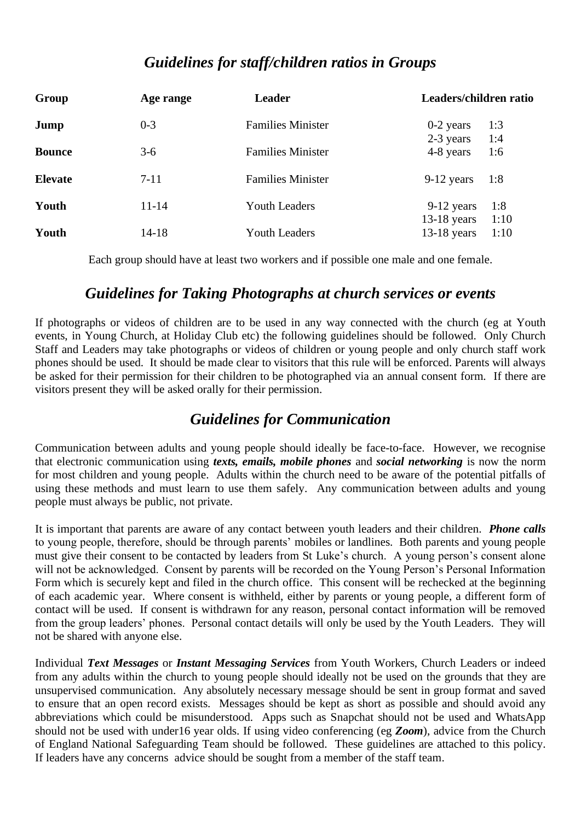## *Guidelines for staff/children ratios in Groups*

| Group          | Age range | <b>Leader</b>            | Leaders/children ratio                         |
|----------------|-----------|--------------------------|------------------------------------------------|
| Jump           | $0 - 3$   | <b>Families Minister</b> | $0-2$ years<br>1:3                             |
| <b>Bounce</b>  | $3-6$     | <b>Families Minister</b> | 2-3 years<br>1:4<br>4-8 years<br>1:6           |
| <b>Elevate</b> | $7 - 11$  | <b>Families Minister</b> | $9-12$ years<br>1:8                            |
| Youth          | $11 - 14$ | <b>Youth Leaders</b>     | 1:8<br>9-12 years                              |
| Youth          | $14-18$   | <b>Youth Leaders</b>     | 1:10<br>$13-18$ years<br>$13-18$ years<br>1:10 |

Each group should have at least two workers and if possible one male and one female.

## *Guidelines for Taking Photographs at church services or events*

If photographs or videos of children are to be used in any way connected with the church (eg at Youth events, in Young Church, at Holiday Club etc) the following guidelines should be followed. Only Church Staff and Leaders may take photographs or videos of children or young people and only church staff work phones should be used. It should be made clear to visitors that this rule will be enforced. Parents will always be asked for their permission for their children to be photographed via an annual consent form. If there are visitors present they will be asked orally for their permission.

## *Guidelines for Communication*

Communication between adults and young people should ideally be face-to-face. However, we recognise that electronic communication using *texts, emails, mobile phones* and *social networking* is now the norm for most children and young people. Adults within the church need to be aware of the potential pitfalls of using these methods and must learn to use them safely. Any communication between adults and young people must always be public, not private.

It is important that parents are aware of any contact between youth leaders and their children. *Phone calls* to young people, therefore, should be through parents' mobiles or landlines. Both parents and young people must give their consent to be contacted by leaders from St Luke's church. A young person's consent alone will not be acknowledged. Consent by parents will be recorded on the Young Person's Personal Information Form which is securely kept and filed in the church office. This consent will be rechecked at the beginning of each academic year. Where consent is withheld, either by parents or young people, a different form of contact will be used. If consent is withdrawn for any reason, personal contact information will be removed from the group leaders' phones. Personal contact details will only be used by the Youth Leaders. They will not be shared with anyone else.

Individual *Text Messages* or *Instant Messaging Services* from Youth Workers, Church Leaders or indeed from any adults within the church to young people should ideally not be used on the grounds that they are unsupervised communication. Any absolutely necessary message should be sent in group format and saved to ensure that an open record exists. Messages should be kept as short as possible and should avoid any abbreviations which could be misunderstood. Apps such as Snapchat should not be used and WhatsApp should not be used with under16 year olds. If using video conferencing (eg *Zoom*), advice from the Church of England National Safeguarding Team should be followed. These guidelines are attached to this policy. If leaders have any concerns advice should be sought from a member of the staff team.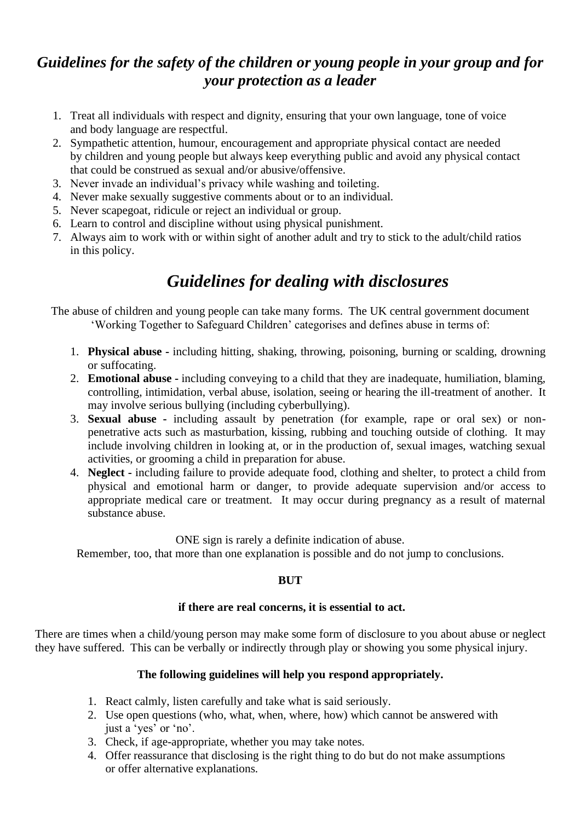# *Guidelines for the safety of the children or young people in your group and for your protection as a leader*

- 1. Treat all individuals with respect and dignity, ensuring that your own language, tone of voice and body language are respectful.
- 2. Sympathetic attention, humour, encouragement and appropriate physical contact are needed by children and young people but always keep everything public and avoid any physical contact that could be construed as sexual and/or abusive/offensive.
- 3. Never invade an individual's privacy while washing and toileting.
- 4. Never make sexually suggestive comments about or to an individual.
- 5. Never scapegoat, ridicule or reject an individual or group.
- 6. Learn to control and discipline without using physical punishment.
- 7. Always aim to work with or within sight of another adult and try to stick to the adult/child ratios in this policy.

# *Guidelines for dealing with disclosures*

The abuse of children and young people can take many forms. The UK central government document 'Working Together to Safeguard Children' categorises and defines abuse in terms of:

- 1. **Physical abuse -** including hitting, shaking, throwing, poisoning, burning or scalding, drowning or suffocating.
- 2. **Emotional abuse -** including conveying to a child that they are inadequate, humiliation, blaming, controlling, intimidation, verbal abuse, isolation, seeing or hearing the ill-treatment of another. It may involve serious bullying (including cyberbullying).
- 3. **Sexual abuse -** including assault by penetration (for example, rape or oral sex) or nonpenetrative acts such as masturbation, kissing, rubbing and touching outside of clothing. It may include involving children in looking at, or in the production of, sexual images, watching sexual activities, or grooming a child in preparation for abuse.
- 4. **Neglect -** including failure to provide adequate food, clothing and shelter, to protect a child from physical and emotional harm or danger, to provide adequate supervision and/or access to appropriate medical care or treatment. It may occur during pregnancy as a result of maternal substance abuse.

ONE sign is rarely a definite indication of abuse.

Remember, too, that more than one explanation is possible and do not jump to conclusions.

#### **BUT**

#### **if there are real concerns, it is essential to act.**

There are times when a child/young person may make some form of disclosure to you about abuse or neglect they have suffered. This can be verbally or indirectly through play or showing you some physical injury.

### **The following guidelines will help you respond appropriately.**

- 1. React calmly, listen carefully and take what is said seriously.
- 2. Use open questions (who, what, when, where, how) which cannot be answered with just a 'yes' or 'no'.
- 3. Check, if age-appropriate, whether you may take notes.
- 4. Offer reassurance that disclosing is the right thing to do but do not make assumptions or offer alternative explanations.